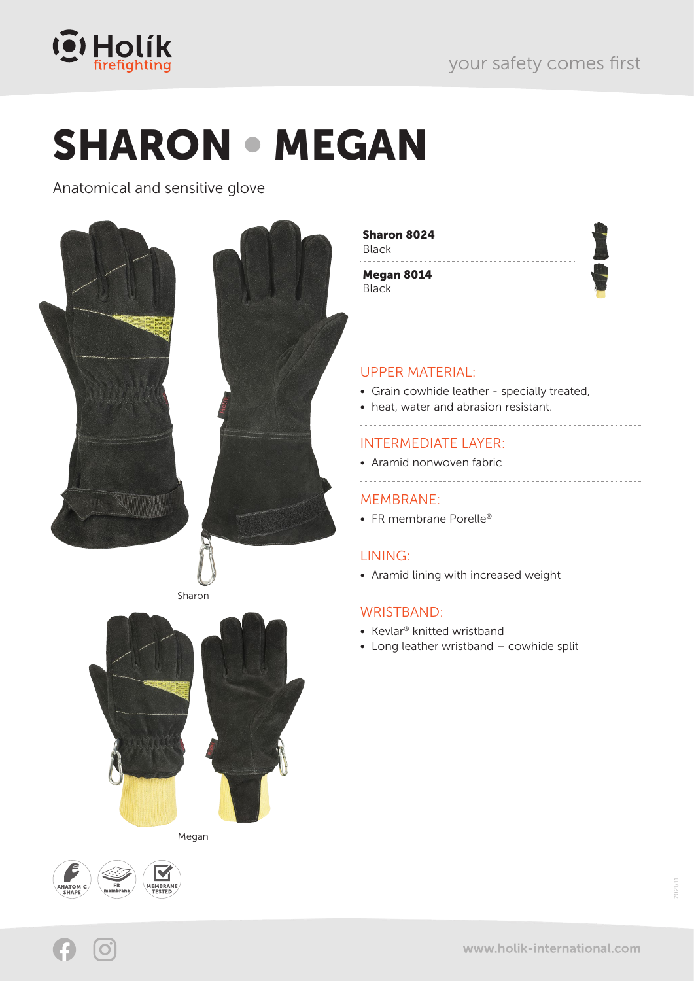

# SHARON • MEGAN

Anatomical and sensitive glove



Megan



Sharon 8024 Black

Megan 8014 **Black** 

#### UPPER MATERIAL:

- Grain cowhide leather specially treated,
- heat, water and abrasion resistant.

### INTERMEDIATE LAYER:

• Aramid nonwoven fabric

#### MEMBRANE:

- FR membrane Porelle<sup>®</sup>
- --------------------------------------

#### LINING:

• Aramid lining with increased weight

#### WRISTBAND:

- Kevlar® knitted wristband
- Long leather wristband cowhide split

2021/11